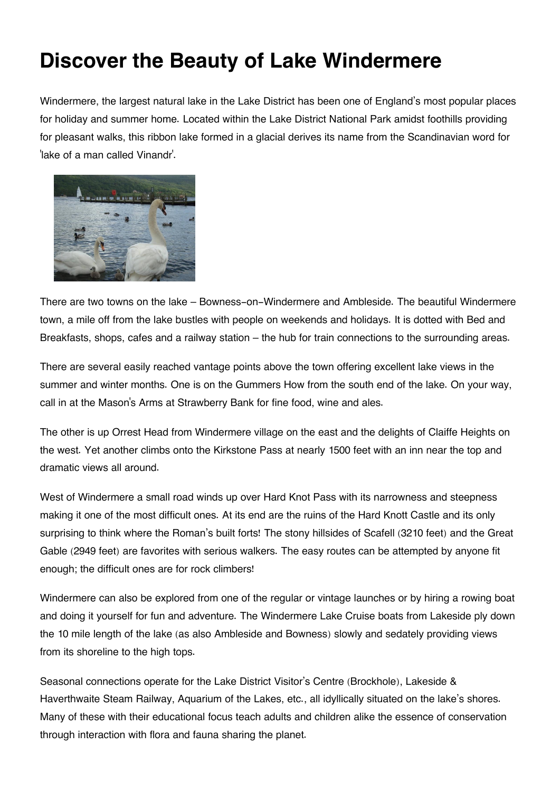## **Discover the Beauty of Lake Windermere**

Windermere, the largest natural lake in the Lake District has been one of England's most popular places for holiday and summer home. Located within the Lake District National Park amidst foothills providing for pleasant walks, this ribbon lake formed in a glacial derives its name from the Scandinavian word for 'lake of a man called Vinandr'.



There are two towns on the lake – Bowness-on-Windermere and Ambleside. The beautiful Windermere town, a mile off from the lake bustles with people on weekends and holidays. It is dotted with Bed and Breakfasts, shops, cafes and a railway station – the hub for train connections to the surrounding areas.

There are several easily reached vantage points above the town offering excellent lake views in the summer and winter months. One is on the Gummers How from the south end of the lake. On your way, call in at the Mason's Arms at Strawberry Bank for fine food, wine and ales.

The other is up Orrest Head from Windermere village on the east and the delights of Claiffe Heights on the west. Yet another climbs onto the Kirkstone Pass at nearly 1500 feet with an inn near the top and dramatic views all around.

West of Windermere a small road winds up over Hard Knot Pass with its narrowness and steepness making it one of the most difficult ones. At its end are the ruins of the Hard Knott Castle and its only surprising to think where the Roman's built forts! The stony hillsides of Scafell (3210 feet) and the Great Gable (2949 feet) are favorites with serious walkers. The easy routes can be attempted by anyone fit enough; the difficult ones are for rock climbers!

Windermere can also be explored from one of the regular or vintage launches or by hiring a rowing boat and doing it yourself for fun and adventure. The Windermere Lake Cruise boats from Lakeside ply down the 10 mile length of the lake (as also Ambleside and Bowness) slowly and sedately providing views from its shoreline to the high tops.

Seasonal connections operate for the Lake District Visitor's Centre (Brockhole), Lakeside & Haverthwaite Steam Railway, Aquarium of the Lakes, etc., all idyllically situated on the lake's shores. Many of these with their educational focus teach adults and children alike the essence of conservation through interaction with flora and fauna sharing the planet.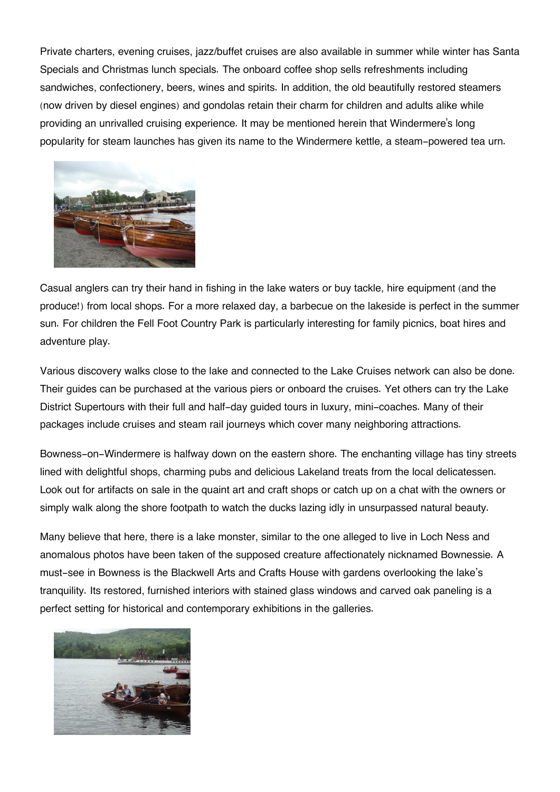Private charters, evening cruises, jazz/buffet cruises are also available in summer while winter has Santa Specials and Christmas lunch specials. The onboard coffee shop sells refreshments including sandwiches, confectionery, beers, wines and spirits. In addition, the old beautifully restored steamers (now driven by diesel engines) and gondolas retain their charm for children and adults alike while providing an unrivalled cruising experience. It may be mentioned herein that Windermere's long popularity for steam launches has given its name to the Windermere kettle, a steam-powered tea urn.



Casual anglers can try their hand in fishing in the lake waters or buy tackle, hire equipment (and the produce!) from local shops. For a more relaxed day, a barbecue on the lakeside is perfect in the summer sun. For children the Fell Foot Country Park is particularly interesting for family picnics, boat hires and adventure play.

Various discovery walks close to the lake and connected to the Lake Cruises network can also be done. Their guides can be purchased at the various piers or onboard the cruises. Yet others can try the Lake District Supertours with their full and half-day guided tours in luxury, mini-coaches. Many of their packages include cruises and steam rail journeys which cover many neighboring attractions.

Bowness-on-Windermere is halfway down on the eastern shore. The enchanting village has tiny streets lined with delightful shops, charming pubs and delicious Lakeland treats from the local delicatessen. Look out for artifacts on sale in the quaint art and craft shops or catch up on a chat with the owners or simply walk along the shore footpath to watch the ducks lazing idly in unsurpassed natural beauty.

Many believe that here, there is a lake monster, similar to the one alleged to live in Loch Ness and anomalous photos have been taken of the supposed creature affectionately nicknamed Bownessie. A must-see in Bowness is the Blackwell Arts and Crafts House with gardens overlooking the lake's tranquility. Its restored, furnished interiors with stained glass windows and carved oak paneling is a perfect setting for historical and contemporary exhibitions in the galleries.